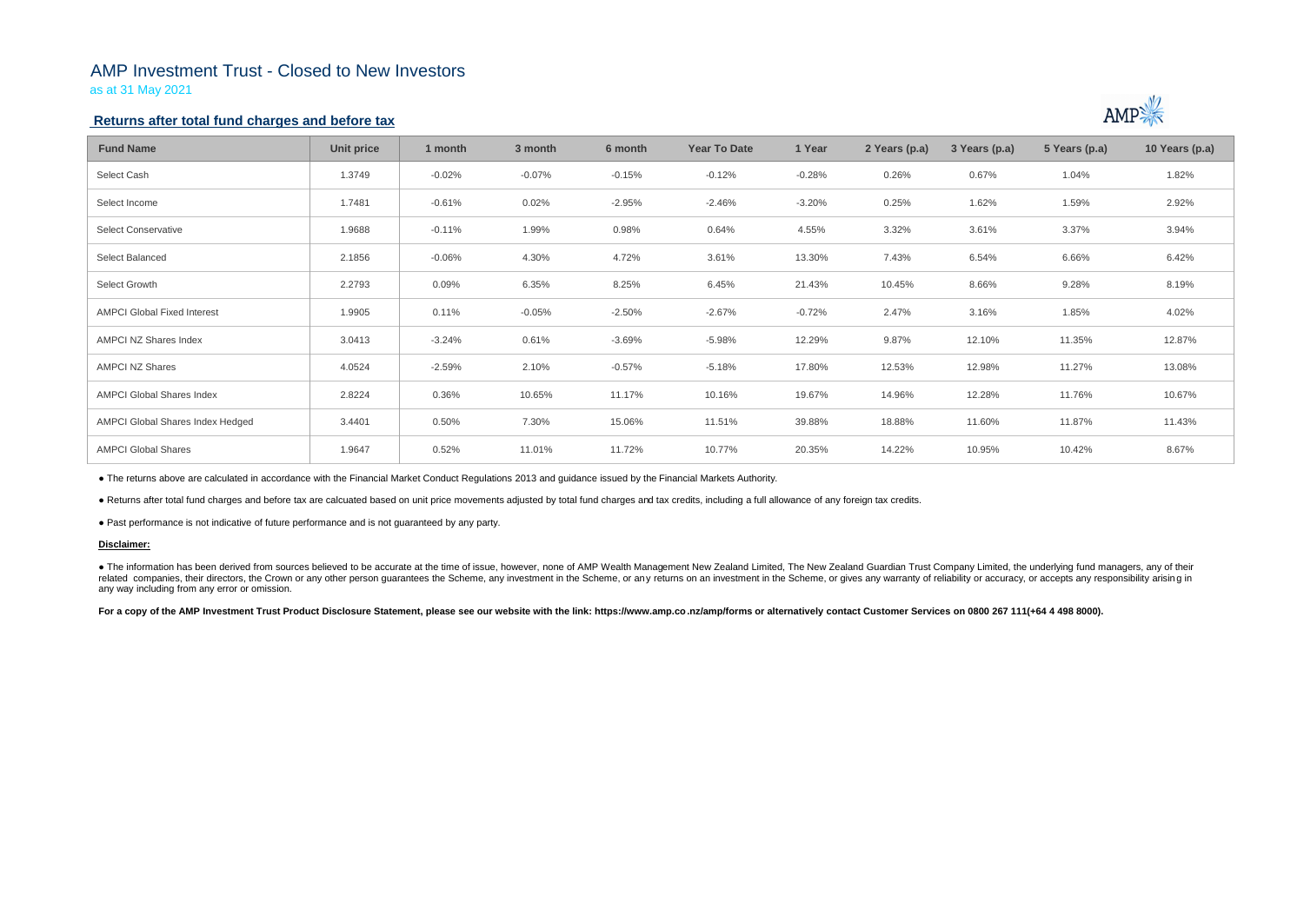# AMP Investment Trust - Closed to New Investors

as at 31 May 2021

## **Returns after total fund charges and before tax**

| <b>Fund Name</b>                   | Unit price | 1 month  | 3 month  | 6 month  | <b>Year To Date</b> | 1 Year   | 2 Years (p.a) | 3 Years (p.a) | 5 Years (p.a) | 10 Years (p.a) |
|------------------------------------|------------|----------|----------|----------|---------------------|----------|---------------|---------------|---------------|----------------|
| Select Cash                        | 1.3749     | $-0.02%$ | $-0.07%$ | $-0.15%$ | $-0.12%$            | $-0.28%$ | 0.26%         | 0.67%         | 1.04%         | 1.82%          |
| Select Income                      | 1.7481     | $-0.61%$ | 0.02%    | $-2.95%$ | $-2.46%$            | $-3.20%$ | 0.25%         | 1.62%         | 1.59%         | 2.92%          |
| <b>Select Conservative</b>         | 1.9688     | $-0.11%$ | 1.99%    | 0.98%    | 0.64%               | 4.55%    | 3.32%         | 3.61%         | 3.37%         | 3.94%          |
| Select Balanced                    | 2.1856     | $-0.06%$ | 4.30%    | 4.72%    | 3.61%               | 13.30%   | 7.43%         | 6.54%         | 6.66%         | 6.42%          |
| Select Growth                      | 2.2793     | 0.09%    | 6.35%    | 8.25%    | 6.45%               | 21.43%   | 10.45%        | 8.66%         | 9.28%         | 8.19%          |
| <b>AMPCI Global Fixed Interest</b> | 1.9905     | 0.11%    | $-0.05%$ | $-2.50%$ | $-2.67%$            | $-0.72%$ | 2.47%         | 3.16%         | 1.85%         | 4.02%          |
| AMPCI NZ Shares Index              | 3.0413     | $-3.24%$ | 0.61%    | $-3.69%$ | $-5.98%$            | 12.29%   | 9.87%         | 12.10%        | 11.35%        | 12.87%         |
| AMPCI NZ Shares                    | 4.0524     | $-2.59%$ | 2.10%    | $-0.57%$ | $-5.18%$            | 17.80%   | 12.53%        | 12.98%        | 11.27%        | 13.08%         |
| <b>AMPCI Global Shares Index</b>   | 2.8224     | 0.36%    | 10.65%   | 11.17%   | 10.16%              | 19.67%   | 14.96%        | 12.28%        | 11.76%        | 10.67%         |
| AMPCI Global Shares Index Hedged   | 3.4401     | 0.50%    | 7.30%    | 15.06%   | 11.51%              | 39.88%   | 18.88%        | 11.60%        | 11.87%        | 11.43%         |
| <b>AMPCI Global Shares</b>         | 1.9647     | 0.52%    | 11.01%   | 11.72%   | 10.77%              | 20.35%   | 14.22%        | 10.95%        | 10.42%        | 8.67%          |

• The information has been derived from sources believed to be accurate at the time of issue, however, none of AMP Wealth Management New Zealand Limited, The New Zealand Guardian Trust Company Limited, the underlying fund related companies, their directors, the Crown or any other person quarantees the Scheme, any investment in the Scheme, or any returns on an investment in the Scheme, or gives any warranty of reliability or accuracy, or acc any way including from any error or omission.

For a copy of the AMP Investment Trust Product Disclosure Statement, please see our website with the link: https://www.amp.co.nz/amp/forms or alternatively contact Customer Services on 0800 267 111(+64 4 498 8000).



● The returns above are calculated in accordance with the Financial Market Conduct Regulations 2013 and guidance issued by the Financial Markets Authority.

● Returns after total fund charges and before tax are calcuated based on unit price movements adjusted by total fund charges and tax credits, including a full allowance of any foreign tax credits.

● Past performance is not indicative of future performance and is not guaranteed by any party.

### **Disclaimer:**